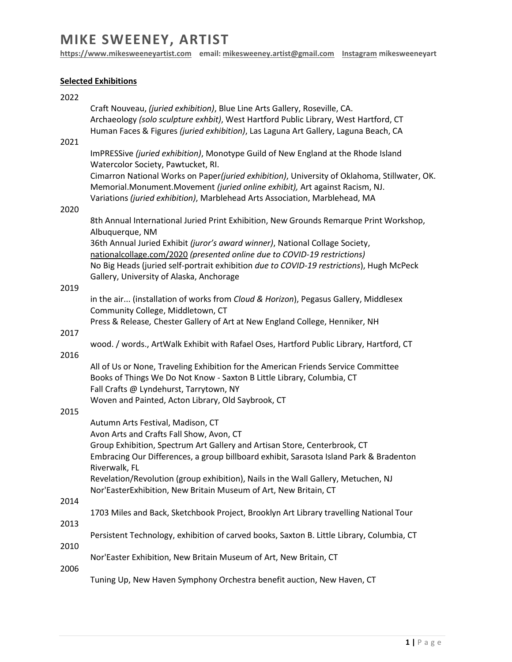# **MIKE SWEENEY, ARTIST**

**[https://www.mikesweeneyartist.com](https://www.mikesweeneyartist.com/) email[: mikesweeney.artist@gmail.com](mailto:mikesweeney.artist@gmail.com) Instagram mikesweeneyart**

### **Selected Exhibitions**

| 2022         |                                                                                                                                                                                                                                                           |
|--------------|-----------------------------------------------------------------------------------------------------------------------------------------------------------------------------------------------------------------------------------------------------------|
|              | Craft Nouveau, (juried exhibition), Blue Line Arts Gallery, Roseville, CA.<br>Archaeology (solo sculpture exhbit), West Hartford Public Library, West Hartford, CT<br>Human Faces & Figures (juried exhibition), Las Laguna Art Gallery, Laguna Beach, CA |
| 2021         |                                                                                                                                                                                                                                                           |
|              | ImPRESSive (juried exhibition), Monotype Guild of New England at the Rhode Island<br>Watercolor Society, Pawtucket, RI.                                                                                                                                   |
|              | Cimarron National Works on Paper(juried exhibition), University of Oklahoma, Stillwater, OK.<br>Memorial.Monument.Movement (juried online exhibit), Art against Racism, NJ.                                                                               |
| 2020         | Variations (juried exhibition), Marblehead Arts Association, Marblehead, MA                                                                                                                                                                               |
|              | 8th Annual International Juried Print Exhibition, New Grounds Remarque Print Workshop,<br>Albuquerque, NM                                                                                                                                                 |
|              | 36th Annual Juried Exhibit (juror's award winner), National Collage Society,<br>nationalcollage.com/2020 (presented online due to COVID-19 restrictions)                                                                                                  |
|              | No Big Heads (juried self-portrait exhibition due to COVID-19 restrictions), Hugh McPeck<br>Gallery, University of Alaska, Anchorage                                                                                                                      |
| 2019         |                                                                                                                                                                                                                                                           |
|              | in the air (installation of works from Cloud & Horizon), Pegasus Gallery, Middlesex<br>Community College, Middletown, CT                                                                                                                                  |
|              | Press & Release, Chester Gallery of Art at New England College, Henniker, NH                                                                                                                                                                              |
| 2017<br>2016 | wood. / words., ArtWalk Exhibit with Rafael Oses, Hartford Public Library, Hartford, CT                                                                                                                                                                   |
|              | All of Us or None, Traveling Exhibition for the American Friends Service Committee                                                                                                                                                                        |
|              | Books of Things We Do Not Know - Saxton B Little Library, Columbia, CT                                                                                                                                                                                    |
|              | Fall Crafts @ Lyndehurst, Tarrytown, NY                                                                                                                                                                                                                   |
| 2015         | Woven and Painted, Acton Library, Old Saybrook, CT                                                                                                                                                                                                        |
|              | Autumn Arts Festival, Madison, CT                                                                                                                                                                                                                         |
|              | Avon Arts and Crafts Fall Show, Avon, CT                                                                                                                                                                                                                  |
|              | Group Exhibition, Spectrum Art Gallery and Artisan Store, Centerbrook, CT                                                                                                                                                                                 |
|              | Embracing Our Differences, a group billboard exhibit, Sarasota Island Park & Bradenton<br>Riverwalk, FL                                                                                                                                                   |
|              | Revelation/Revolution (group exhibition), Nails in the Wall Gallery, Metuchen, NJ<br>Nor'EasterExhibition, New Britain Museum of Art, New Britain, CT                                                                                                     |
| 2014         |                                                                                                                                                                                                                                                           |
| 2013         | 1703 Miles and Back, Sketchbook Project, Brooklyn Art Library travelling National Tour                                                                                                                                                                    |
|              | Persistent Technology, exhibition of carved books, Saxton B. Little Library, Columbia, CT                                                                                                                                                                 |
| 2010         | Nor'Easter Exhibition, New Britain Museum of Art, New Britain, CT                                                                                                                                                                                         |
| 2006         | Tuning Up, New Haven Symphony Orchestra benefit auction, New Haven, CT                                                                                                                                                                                    |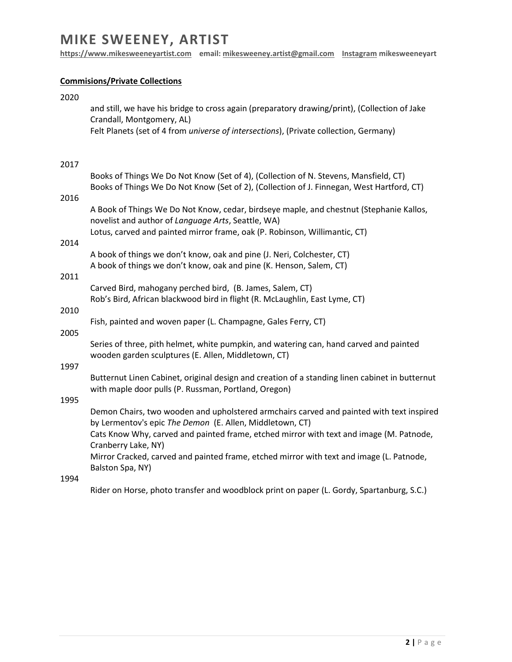## **MIKE SWEENEY, ARTIST**

**[https://www.mikesweeneyartist.com](https://www.mikesweeneyartist.com/) email[: mikesweeney.artist@gmail.com](mailto:mikesweeney.artist@gmail.com) Instagram mikesweeneyart**

### **Commisions/Private Collections**

| 2020 | and still, we have his bridge to cross again (preparatory drawing/print), (Collection of Jake<br>Crandall, Montgomery, AL)<br>Felt Planets (set of 4 from <i>universe of intersections</i> ), (Private collection, Germany) |
|------|-----------------------------------------------------------------------------------------------------------------------------------------------------------------------------------------------------------------------------|
| 2017 |                                                                                                                                                                                                                             |
|      | Books of Things We Do Not Know (Set of 4), (Collection of N. Stevens, Mansfield, CT)<br>Books of Things We Do Not Know (Set of 2), (Collection of J. Finnegan, West Hartford, CT)                                           |
| 2016 |                                                                                                                                                                                                                             |
|      | A Book of Things We Do Not Know, cedar, birdseye maple, and chestnut (Stephanie Kallos,<br>novelist and author of Language Arts, Seattle, WA)                                                                               |
|      | Lotus, carved and painted mirror frame, oak (P. Robinson, Willimantic, CT)                                                                                                                                                  |
| 2014 | A book of things we don't know, oak and pine (J. Neri, Colchester, CT)<br>A book of things we don't know, oak and pine (K. Henson, Salem, CT)                                                                               |
| 2011 |                                                                                                                                                                                                                             |
|      | Carved Bird, mahogany perched bird, (B. James, Salem, CT)<br>Rob's Bird, African blackwood bird in flight (R. McLaughlin, East Lyme, CT)                                                                                    |
| 2010 |                                                                                                                                                                                                                             |
| 2005 | Fish, painted and woven paper (L. Champagne, Gales Ferry, CT)                                                                                                                                                               |
|      | Series of three, pith helmet, white pumpkin, and watering can, hand carved and painted<br>wooden garden sculptures (E. Allen, Middletown, CT)                                                                               |
| 1997 |                                                                                                                                                                                                                             |
|      | Butternut Linen Cabinet, original design and creation of a standing linen cabinet in butternut<br>with maple door pulls (P. Russman, Portland, Oregon)                                                                      |
| 1995 |                                                                                                                                                                                                                             |
|      | Demon Chairs, two wooden and upholstered armchairs carved and painted with text inspired<br>by Lermentov's epic The Demon (E. Allen, Middletown, CT)                                                                        |
|      | Cats Know Why, carved and painted frame, etched mirror with text and image (M. Patnode,<br>Cranberry Lake, NY)                                                                                                              |
|      | Mirror Cracked, carved and painted frame, etched mirror with text and image (L. Patnode,<br>Balston Spa, NY)                                                                                                                |
| 1994 |                                                                                                                                                                                                                             |

Rider on Horse, photo transfer and woodblock print on paper (L. Gordy, Spartanburg, S.C.)